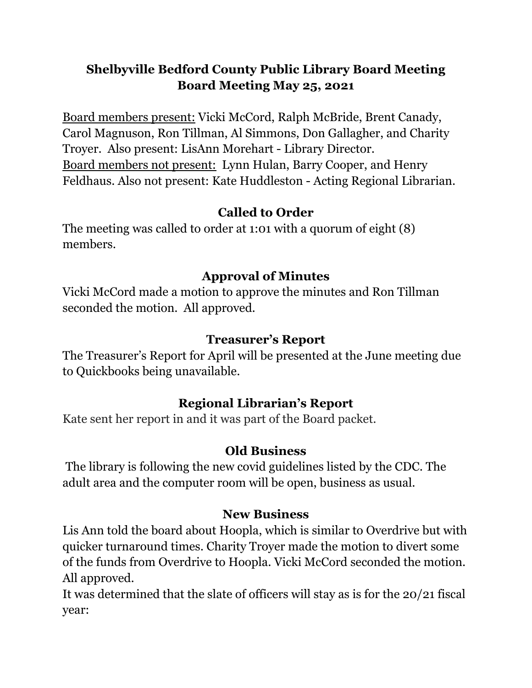# **Shelbyville Bedford County Public Library Board Meeting Board Meeting May 25, 2021**

Board members present: Vicki McCord, Ralph McBride, Brent Canady, Carol Magnuson, Ron Tillman, Al Simmons, Don Gallagher, and Charity Troyer. Also present: LisAnn Morehart - Library Director. Board members not present: Lynn Hulan, Barry Cooper, and Henry Feldhaus. Also not present: Kate Huddleston - Acting Regional Librarian.

### **Called to Order**

The meeting was called to order at 1:01 with a quorum of eight (8) members.

## **Approval of Minutes**

Vicki McCord made a motion to approve the minutes and Ron Tillman seconded the motion. All approved.

## **Treasurer's Report**

The Treasurer's Report for April will be presented at the June meeting due to Quickbooks being unavailable.

# **Regional Librarian's Report**

Kate sent her report in and it was part of the Board packet.

### **Old Business**

The library is following the new covid guidelines listed by the CDC. The adult area and the computer room will be open, business as usual.

### **New Business**

Lis Ann told the board about Hoopla, which is similar to Overdrive but with quicker turnaround times. Charity Troyer made the motion to divert some of the funds from Overdrive to Hoopla. Vicki McCord seconded the motion. All approved.

It was determined that the slate of officers will stay as is for the 20/21 fiscal year: